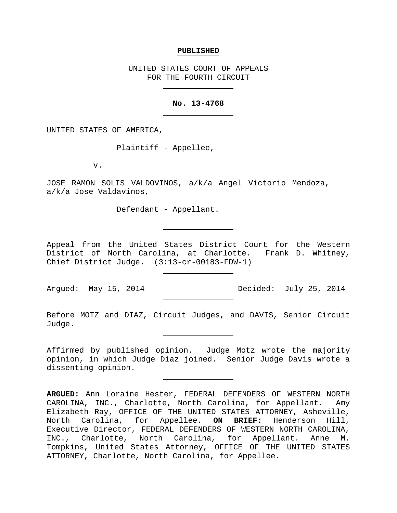#### **PUBLISHED**

UNITED STATES COURT OF APPEALS FOR THE FOURTH CIRCUIT

## **No. 13-4768**

UNITED STATES OF AMERICA,

Plaintiff - Appellee,

v.

JOSE RAMON SOLIS VALDOVINOS, a/k/a Angel Victorio Mendoza, a/k/a Jose Valdavinos,

Defendant - Appellant.

Appeal from the United States District Court for the Western District of North Carolina, at Charlotte. Frank D. Whitney, Chief District Judge. (3:13-cr-00183-FDW-1)

Argued: May 15, 2014 Decided: July 25, 2014

Before MOTZ and DIAZ, Circuit Judges, and DAVIS, Senior Circuit Judge.

Affirmed by published opinion. Judge Motz wrote the majority opinion, in which Judge Diaz joined. Senior Judge Davis wrote a dissenting opinion.

**ARGUED:** Ann Loraine Hester, FEDERAL DEFENDERS OF WESTERN NORTH CAROLINA, INC., Charlotte, North Carolina, for Appellant. Amy Elizabeth Ray, OFFICE OF THE UNITED STATES ATTORNEY, Asheville, North Carolina, for Appellee. **ON BRIEF:** Henderson Hill, Executive Director, FEDERAL DEFENDERS OF WESTERN NORTH CAROLINA, INC., Charlotte, North Carolina, for Appellant. Anne M. Tompkins, United States Attorney, OFFICE OF THE UNITED STATES ATTORNEY, Charlotte, North Carolina, for Appellee.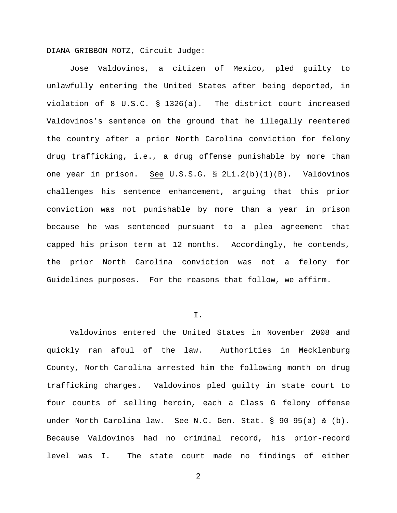DIANA GRIBBON MOTZ, Circuit Judge:

Jose Valdovinos, a citizen of Mexico, pled guilty to unlawfully entering the United States after being deported, in violation of 8 U.S.C. § 1326(a). The district court increased Valdovinos's sentence on the ground that he illegally reentered the country after a prior North Carolina conviction for felony drug trafficking, i.e., a drug offense punishable by more than one year in prison. See U.S.S.G. § 2L1.2(b)(1)(B). Valdovinos challenges his sentence enhancement, arguing that this prior conviction was not punishable by more than a year in prison because he was sentenced pursuant to a plea agreement that capped his prison term at 12 months. Accordingly, he contends, the prior North Carolina conviction was not a felony for Guidelines purposes. For the reasons that follow, we affirm.

# $T$ .

Valdovinos entered the United States in November 2008 and quickly ran afoul of the law. Authorities in Mecklenburg County, North Carolina arrested him the following month on drug trafficking charges. Valdovinos pled guilty in state court to four counts of selling heroin, each a Class G felony offense under North Carolina law. See N.C. Gen. Stat. § 90-95(a) & (b). Because Valdovinos had no criminal record, his prior-record level was I. The state court made no findings of either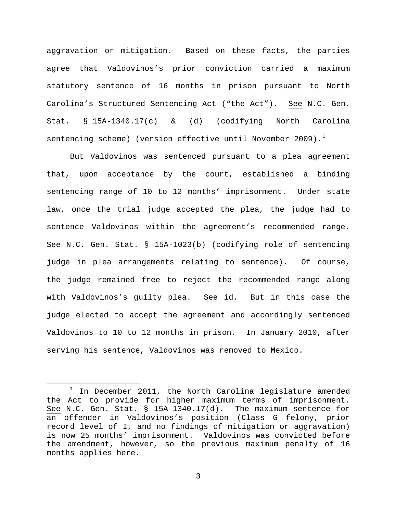aggravation or mitigation. Based on these facts, the parties agree that Valdovinos's prior conviction carried a maximum statutory sentence of 16 months in prison pursuant to North Carolina's Structured Sentencing Act ("the Act"). See N.C. Gen. Stat. § 15A-1340.17(c) & (d) (codifying North Carolina sentencing scheme) (version effective until November 2009). $<sup>1</sup>$  $<sup>1</sup>$  $<sup>1</sup>$ </sup>

But Valdovinos was sentenced pursuant to a plea agreement that, upon acceptance by the court, established a binding sentencing range of 10 to 12 months' imprisonment. Under state law, once the trial judge accepted the plea, the judge had to sentence Valdovinos within the agreement's recommended range. See N.C. Gen. Stat. § 15A-1023(b) (codifying role of sentencing judge in plea arrangements relating to sentence). Of course, the judge remained free to reject the recommended range along with Valdovinos's guilty plea. See id. But in this case the judge elected to accept the agreement and accordingly sentenced Valdovinos to 10 to 12 months in prison. In January 2010, after serving his sentence, Valdovinos was removed to Mexico.

<span id="page-2-0"></span> $1$  In December 2011, the North Carolina legislature amended the Act to provide for higher maximum terms of imprisonment. See N.C. Gen. Stat. § 15A-1340.17(d). The maximum sentence for an offender in Valdovinos's position (Class G felony, prior record level of I, and no findings of mitigation or aggravation) is now 25 months' imprisonment. Valdovinos was convicted before the amendment, however, so the previous maximum penalty of 16 months applies here.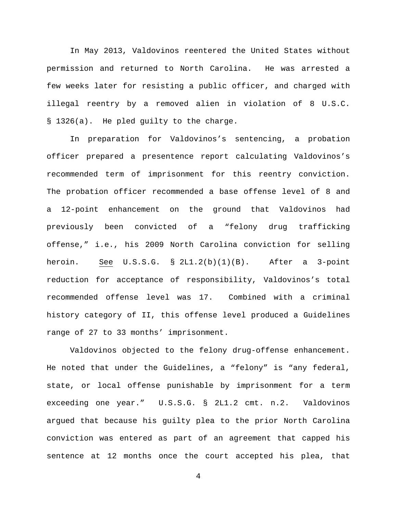In May 2013, Valdovinos reentered the United States without permission and returned to North Carolina. He was arrested a few weeks later for resisting a public officer, and charged with illegal reentry by a removed alien in violation of 8 U.S.C. § 1326(a). He pled guilty to the charge.

In preparation for Valdovinos's sentencing, a probation officer prepared a presentence report calculating Valdovinos's recommended term of imprisonment for this reentry conviction. The probation officer recommended a base offense level of 8 and a 12-point enhancement on the ground that Valdovinos had previously been convicted of a "felony drug trafficking offense," i.e., his 2009 North Carolina conviction for selling heroin. See U.S.S.G. § 2L1.2(b)(1)(B). After a 3-point reduction for acceptance of responsibility, Valdovinos's total recommended offense level was 17. Combined with a criminal history category of II, this offense level produced a Guidelines range of 27 to 33 months' imprisonment.

Valdovinos objected to the felony drug-offense enhancement. He noted that under the Guidelines, a "felony" is "any federal, state, or local offense punishable by imprisonment for a term exceeding one year." U.S.S.G. § 2L1.2 cmt. n.2. Valdovinos argued that because his guilty plea to the prior North Carolina conviction was entered as part of an agreement that capped his sentence at 12 months once the court accepted his plea, that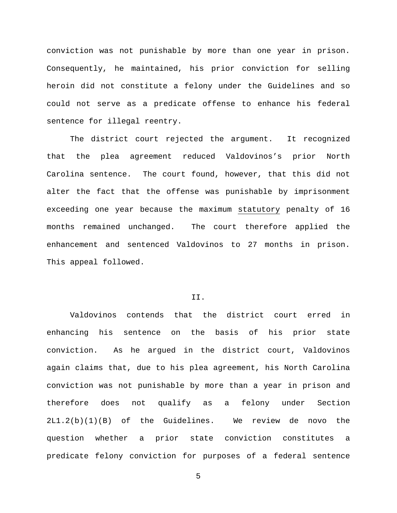conviction was not punishable by more than one year in prison. Consequently, he maintained, his prior conviction for selling heroin did not constitute a felony under the Guidelines and so could not serve as a predicate offense to enhance his federal sentence for illegal reentry.

The district court rejected the argument. It recognized that the plea agreement reduced Valdovinos's prior North Carolina sentence. The court found, however, that this did not alter the fact that the offense was punishable by imprisonment exceeding one year because the maximum statutory penalty of 16 months remained unchanged. The court therefore applied the enhancement and sentenced Valdovinos to 27 months in prison. This appeal followed.

# II.

Valdovinos contends that the district court erred in enhancing his sentence on the basis of his prior state conviction. As he argued in the district court, Valdovinos again claims that, due to his plea agreement, his North Carolina conviction was not punishable by more than a year in prison and therefore does not qualify as a felony under Section 2L1.2(b)(1)(B) of the Guidelines. We review de novo the question whether a prior state conviction constitutes a predicate felony conviction for purposes of a federal sentence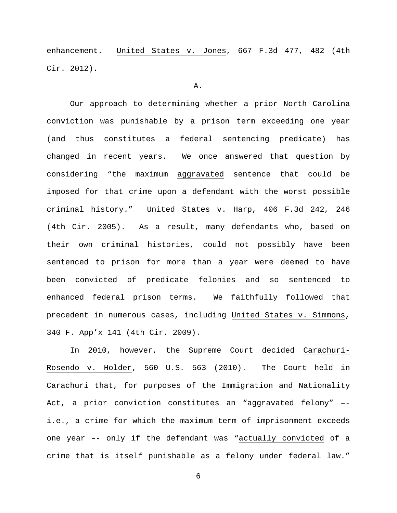enhancement. United States v. Jones, 667 F.3d 477, 482 (4th Cir. 2012).

#### A.

Our approach to determining whether a prior North Carolina conviction was punishable by a prison term exceeding one year (and thus constitutes a federal sentencing predicate) has changed in recent years. We once answered that question by considering "the maximum aggravated sentence that could be imposed for that crime upon a defendant with the worst possible criminal history." United States v. Harp, 406 F.3d 242, 246 (4th Cir. 2005). As a result, many defendants who, based on their own criminal histories, could not possibly have been sentenced to prison for more than a year were deemed to have been convicted of predicate felonies and so sentenced to enhanced federal prison terms. We faithfully followed that precedent in numerous cases, including United States v. Simmons, 340 F. App'x 141 (4th Cir. 2009).

In 2010, however, the Supreme Court decided Carachuri-Rosendo v. Holder, 560 U.S. 563 (2010). The Court held in Carachuri that, for purposes of the Immigration and Nationality Act, a prior conviction constitutes an "aggravated felony" – i.e., a crime for which the maximum term of imprisonment exceeds one year –- only if the defendant was "actually convicted of a crime that is itself punishable as a felony under federal law."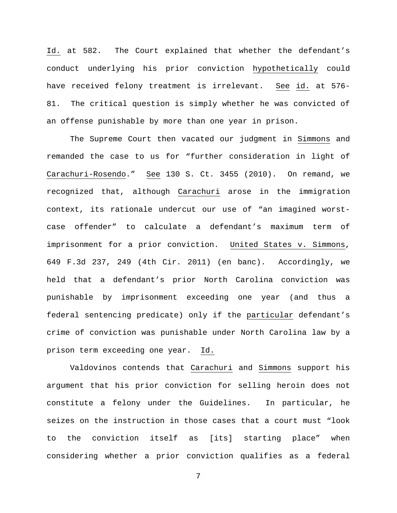Id. at 582. The Court explained that whether the defendant's conduct underlying his prior conviction hypothetically could have received felony treatment is irrelevant. See id. at 576- 81. The critical question is simply whether he was convicted of an offense punishable by more than one year in prison.

The Supreme Court then vacated our judgment in Simmons and remanded the case to us for "further consideration in light of Carachuri-Rosendo." See 130 S. Ct. 3455 (2010). On remand, we recognized that, although Carachuri arose in the immigration context, its rationale undercut our use of "an imagined worstcase offender" to calculate a defendant's maximum term of imprisonment for a prior conviction. United States v. Simmons, 649 F.3d 237, 249 (4th Cir. 2011) (en banc). Accordingly, we held that a defendant's prior North Carolina conviction was punishable by imprisonment exceeding one year (and thus a federal sentencing predicate) only if the particular defendant's crime of conviction was punishable under North Carolina law by a prison term exceeding one year. Id.

Valdovinos contends that Carachuri and Simmons support his argument that his prior conviction for selling heroin does not constitute a felony under the Guidelines. In particular, he seizes on the instruction in those cases that a court must "look to the conviction itself as [its] starting place" when considering whether a prior conviction qualifies as a federal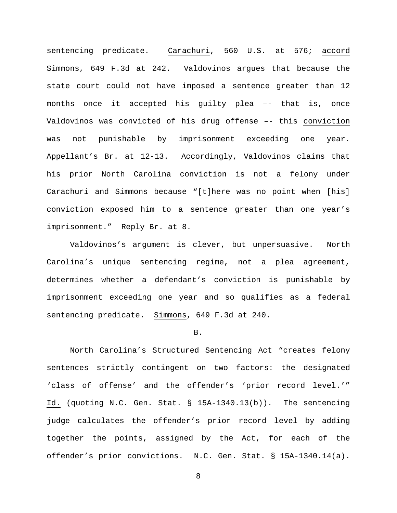sentencing predicate. Carachuri, 560 U.S. at 576; accord Simmons, 649 F.3d at 242. Valdovinos argues that because the state court could not have imposed a sentence greater than 12 months once it accepted his guilty plea –- that is, once Valdovinos was convicted of his drug offense –- this conviction was not punishable by imprisonment exceeding one year. Appellant's Br. at 12-13. Accordingly, Valdovinos claims that his prior North Carolina conviction is not a felony under Carachuri and Simmons because "[t]here was no point when [his] conviction exposed him to a sentence greater than one year's imprisonment." Reply Br. at 8.

Valdovinos's argument is clever, but unpersuasive. North Carolina's unique sentencing regime, not a plea agreement, determines whether a defendant's conviction is punishable by imprisonment exceeding one year and so qualifies as a federal sentencing predicate. Simmons, 649 F.3d at 240.

## B.

North Carolina's Structured Sentencing Act "creates felony sentences strictly contingent on two factors: the designated 'class of offense' and the offender's 'prior record level.'" Id. (quoting N.C. Gen. Stat. § 15A-1340.13(b)). The sentencing judge calculates the offender's prior record level by adding together the points, assigned by the Act, for each of the offender's prior convictions. N.C. Gen. Stat. § 15A-1340.14(a).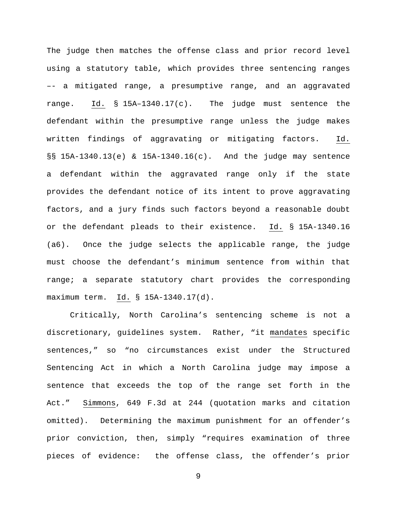The judge then matches the offense class and prior record level using a statutory table, which provides three sentencing ranges –- a mitigated range, a presumptive range, and an aggravated range. Id. § 15A–1340.17(c). The judge must sentence the defendant within the presumptive range unless the judge makes written findings of aggravating or mitigating factors. Id. §§ 15A-1340.13(e) & 15A-1340.16(c). And the judge may sentence a defendant within the aggravated range only if the state provides the defendant notice of its intent to prove aggravating factors, and a jury finds such factors beyond a reasonable doubt or the defendant pleads to their existence. Id. § 15A-1340.16 (a6). Once the judge selects the applicable range, the judge must choose the defendant's minimum sentence from within that range; a separate statutory chart provides the corresponding maximum term. Id. § 15A-1340.17(d).

Critically, North Carolina's sentencing scheme is not a discretionary, guidelines system. Rather, "it mandates specific sentences," so "no circumstances exist under the Structured Sentencing Act in which a North Carolina judge may impose a sentence that exceeds the top of the range set forth in the Act." Simmons, 649 F.3d at 244 (quotation marks and citation omitted). Determining the maximum punishment for an offender's prior conviction, then, simply "requires examination of three pieces of evidence: the offense class, the offender's prior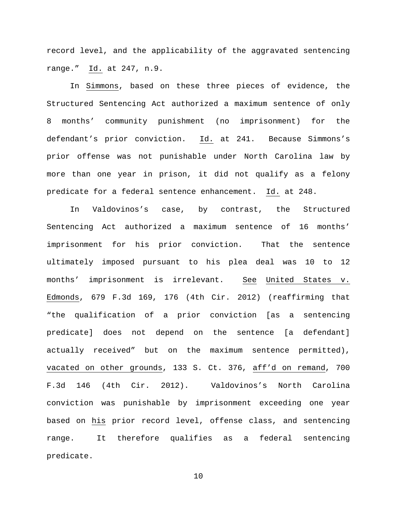record level, and the applicability of the aggravated sentencing range." Id. at 247, n.9.

In Simmons, based on these three pieces of evidence, the Structured Sentencing Act authorized a maximum sentence of only 8 months' community punishment (no imprisonment) for the defendant's prior conviction. Id. at 241. Because Simmons's prior offense was not punishable under North Carolina law by more than one year in prison, it did not qualify as a felony predicate for a federal sentence enhancement. Id. at 248.

In Valdovinos's case, by contrast, the Structured Sentencing Act authorized a maximum sentence of 16 months' imprisonment for his prior conviction. That the sentence ultimately imposed pursuant to his plea deal was 10 to 12 months' imprisonment is irrelevant. See United States v. Edmonds, 679 F.3d 169, 176 (4th Cir. 2012) (reaffirming that "the qualification of a prior conviction [as a sentencing predicate] does not depend on the sentence [a defendant] actually received" but on the maximum sentence permitted), vacated on other grounds, 133 S. Ct. 376, aff'd on remand, 700 F.3d 146 (4th Cir. 2012). Valdovinos's North Carolina conviction was punishable by imprisonment exceeding one year based on his prior record level, offense class, and sentencing range. It therefore qualifies as a federal sentencing predicate.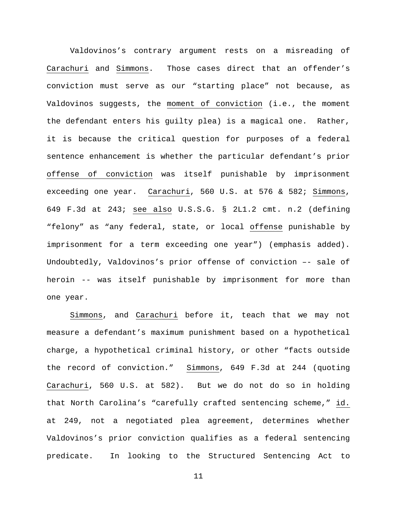Valdovinos's contrary argument rests on a misreading of Carachuri and Simmons. Those cases direct that an offender's conviction must serve as our "starting place" not because, as Valdovinos suggests, the moment of conviction (i.e., the moment the defendant enters his guilty plea) is a magical one. Rather, it is because the critical question for purposes of a federal sentence enhancement is whether the particular defendant's prior offense of conviction was itself punishable by imprisonment exceeding one year. Carachuri, 560 U.S. at 576 & 582; Simmons, 649 F.3d at 243; see also U.S.S.G. § 2L1.2 cmt. n.2 (defining "felony" as "any federal, state, or local offense punishable by imprisonment for a term exceeding one year") (emphasis added). Undoubtedly, Valdovinos's prior offense of conviction –- sale of heroin -- was itself punishable by imprisonment for more than one year.

Simmons, and Carachuri before it, teach that we may not measure a defendant's maximum punishment based on a hypothetical charge, a hypothetical criminal history, or other "facts outside the record of conviction." Simmons, 649 F.3d at 244 (quoting Carachuri, 560 U.S. at 582). But we do not do so in holding that North Carolina's "carefully crafted sentencing scheme," id. at 249, not a negotiated plea agreement, determines whether Valdovinos's prior conviction qualifies as a federal sentencing predicate. In looking to the Structured Sentencing Act to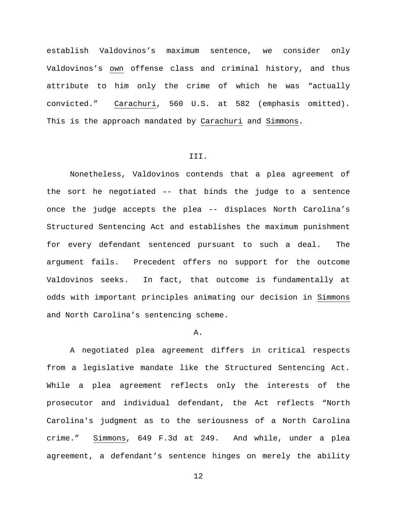establish Valdovinos's maximum sentence, we consider only Valdovinos's own offense class and criminal history, and thus attribute to him only the crime of which he was "actually convicted." Carachuri, 560 U.S. at 582 (emphasis omitted). This is the approach mandated by Carachuri and Simmons.

### III.

Nonetheless, Valdovinos contends that a plea agreement of the sort he negotiated –- that binds the judge to a sentence once the judge accepts the plea -- displaces North Carolina's Structured Sentencing Act and establishes the maximum punishment for every defendant sentenced pursuant to such a deal. The argument fails. Precedent offers no support for the outcome Valdovinos seeks. In fact, that outcome is fundamentally at odds with important principles animating our decision in Simmons and North Carolina's sentencing scheme.

## A.

A negotiated plea agreement differs in critical respects from a legislative mandate like the Structured Sentencing Act. While a plea agreement reflects only the interests of the prosecutor and individual defendant, the Act reflects "North Carolina's judgment as to the seriousness of a North Carolina crime." Simmons, 649 F.3d at 249. And while, under a plea agreement, a defendant's sentence hinges on merely the ability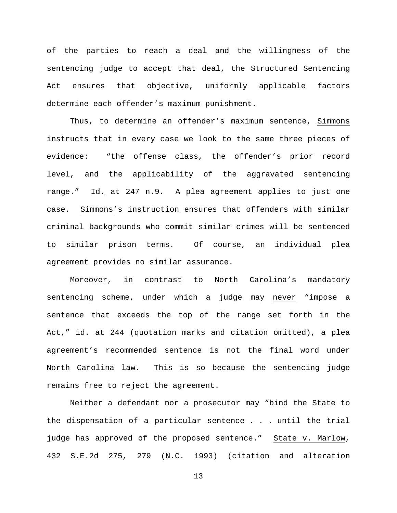of the parties to reach a deal and the willingness of the sentencing judge to accept that deal, the Structured Sentencing Act ensures that objective, uniformly applicable factors determine each offender's maximum punishment.

Thus, to determine an offender's maximum sentence, Simmons instructs that in every case we look to the same three pieces of evidence: "the offense class, the offender's prior record level, and the applicability of the aggravated sentencing range." Id. at 247 n.9. A plea agreement applies to just one case. Simmons's instruction ensures that offenders with similar criminal backgrounds who commit similar crimes will be sentenced to similar prison terms. Of course, an individual plea agreement provides no similar assurance.

Moreover, in contrast to North Carolina's mandatory sentencing scheme, under which a judge may never "impose a sentence that exceeds the top of the range set forth in the Act," id. at 244 (quotation marks and citation omitted), a plea agreement's recommended sentence is not the final word under North Carolina law. This is so because the sentencing judge remains free to reject the agreement.

Neither a defendant nor a prosecutor may "bind the State to the dispensation of a particular sentence . . . until the trial judge has approved of the proposed sentence." State v. Marlow, 432 S.E.2d 275, 279 (N.C. 1993) (citation and alteration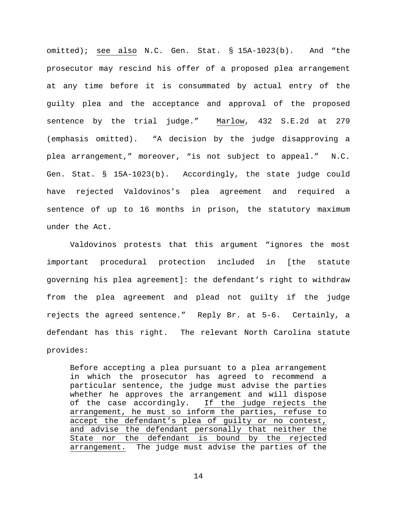omitted); see also N.C. Gen. Stat. § 15A-1023(b). And "the prosecutor may rescind his offer of a proposed plea arrangement at any time before it is consummated by actual entry of the guilty plea and the acceptance and approval of the proposed sentence by the trial judge." Marlow, 432 S.E.2d at 279 (emphasis omitted). "A decision by the judge disapproving a plea arrangement," moreover, "is not subject to appeal." N.C. Gen. Stat. § 15A-1023(b). Accordingly, the state judge could have rejected Valdovinos's plea agreement and required a sentence of up to 16 months in prison, the statutory maximum under the Act.

Valdovinos protests that this argument "ignores the most important procedural protection included in [the statute governing his plea agreement]: the defendant's right to withdraw from the plea agreement and plead not guilty if the judge rejects the agreed sentence." Reply Br. at 5-6. Certainly, a defendant has this right. The relevant North Carolina statute provides:

Before accepting a plea pursuant to a plea arrangement in which the prosecutor has agreed to recommend a particular sentence, the judge must advise the parties whether he approves the arrangement and will dispose<br>of the case accordingly. If the judge rejects the If the judge rejects the arrangement, he must so inform the parties, refuse to accept the defendant's plea of guilty or no contest, and advise the defendant personally that neither the State nor the defendant is bound by the rejected arrangement. The judge must advise the parties of the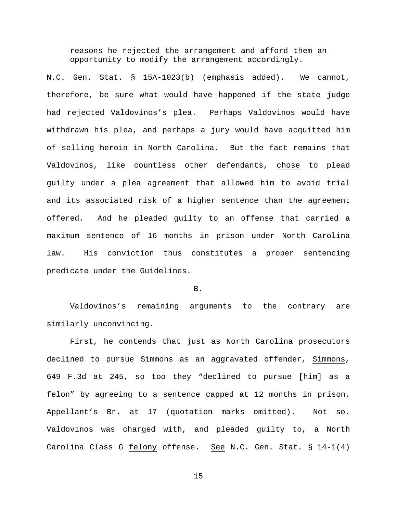reasons he rejected the arrangement and afford them an opportunity to modify the arrangement accordingly.

N.C. Gen. Stat. § 15A-1023(b) (emphasis added). We cannot, therefore, be sure what would have happened if the state judge had rejected Valdovinos's plea. Perhaps Valdovinos would have withdrawn his plea, and perhaps a jury would have acquitted him of selling heroin in North Carolina. But the fact remains that Valdovinos, like countless other defendants, chose to plead guilty under a plea agreement that allowed him to avoid trial and its associated risk of a higher sentence than the agreement offered. And he pleaded guilty to an offense that carried a maximum sentence of 16 months in prison under North Carolina law. His conviction thus constitutes a proper sentencing predicate under the Guidelines.

## B.

Valdovinos's remaining arguments to the contrary are similarly unconvincing.

First, he contends that just as North Carolina prosecutors declined to pursue Simmons as an aggravated offender, Simmons, 649 F.3d at 245, so too they "declined to pursue [him] as a felon" by agreeing to a sentence capped at 12 months in prison. Appellant's Br. at 17 (quotation marks omitted). Not so. Valdovinos was charged with, and pleaded guilty to, a North Carolina Class G felony offense. See N.C. Gen. Stat. § 14-1(4)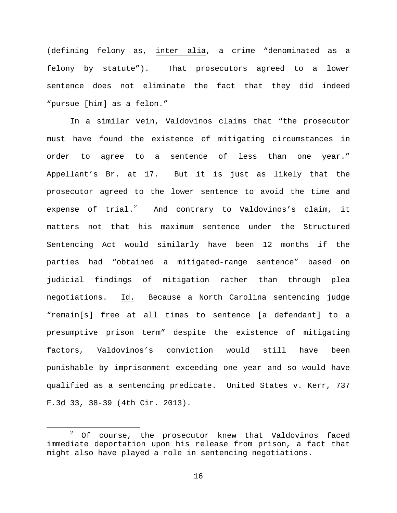(defining felony as, inter alia, a crime "denominated as a felony by statute"). That prosecutors agreed to a lower sentence does not eliminate the fact that they did indeed "pursue [him] as a felon."

In a similar vein, Valdovinos claims that "the prosecutor must have found the existence of mitigating circumstances in order to agree to a sentence of less than one year." Appellant's Br. at 17. But it is just as likely that the prosecutor agreed to the lower sentence to avoid the time and expense of  $trial.^2$  $trial.^2$  And contrary to Valdovinos's claim, it matters not that his maximum sentence under the Structured Sentencing Act would similarly have been 12 months if the parties had "obtained a mitigated-range sentence" based on judicial findings of mitigation rather than through plea negotiations. Id. Because a North Carolina sentencing judge "remain[s] free at all times to sentence [a defendant] to a presumptive prison term" despite the existence of mitigating factors, Valdovinos's conviction would still have been punishable by imprisonment exceeding one year and so would have qualified as a sentencing predicate. United States v. Kerr, 737 F.3d 33, 38-39 (4th Cir. 2013).

<span id="page-15-0"></span> $2$  Of course, the prosecutor knew that Valdovinos faced immediate deportation upon his release from prison, a fact that might also have played a role in sentencing negotiations.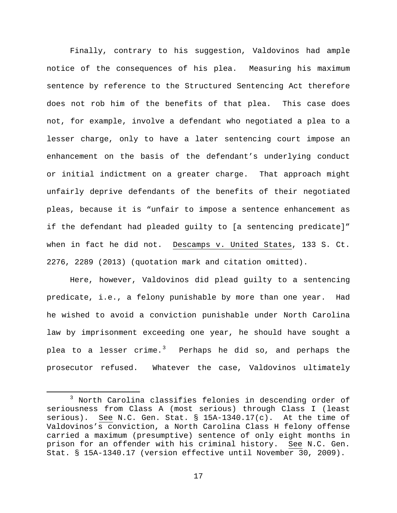Finally, contrary to his suggestion, Valdovinos had ample notice of the consequences of his plea. Measuring his maximum sentence by reference to the Structured Sentencing Act therefore does not rob him of the benefits of that plea. This case does not, for example, involve a defendant who negotiated a plea to a lesser charge, only to have a later sentencing court impose an enhancement on the basis of the defendant's underlying conduct or initial indictment on a greater charge. That approach might unfairly deprive defendants of the benefits of their negotiated pleas, because it is "unfair to impose a sentence enhancement as if the defendant had pleaded guilty to [a sentencing predicate]" when in fact he did not. Descamps v. United States, 133 S. Ct. 2276, 2289 (2013) (quotation mark and citation omitted).

Here, however, Valdovinos did plead guilty to a sentencing predicate, i.e., a felony punishable by more than one year. Had he wished to avoid a conviction punishable under North Carolina law by imprisonment exceeding one year, he should have sought a plea to a lesser crime.<sup>[3](#page-16-0)</sup> Perhaps he did so, and perhaps the prosecutor refused. Whatever the case, Valdovinos ultimately

<span id="page-16-0"></span> <sup>3</sup> North Carolina classifies felonies in descending order of seriousness from Class A (most serious) through Class I (least serious). See N.C. Gen. Stat.  $\S$  15A-1340.17(c). At the time of Valdovinos's conviction, a North Carolina Class H felony offense carried a maximum (presumptive) sentence of only eight months in prison for an offender with his criminal history. See N.C. Gen. Stat. § 15A-1340.17 (version effective until November 30, 2009).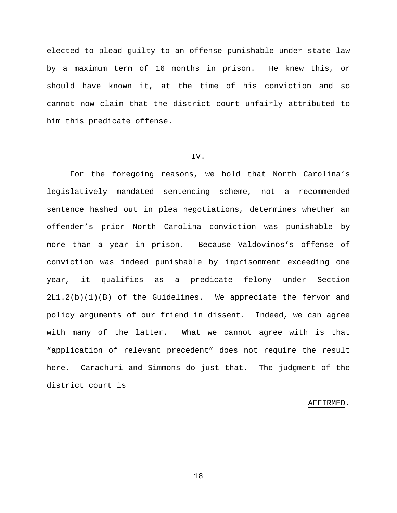elected to plead guilty to an offense punishable under state law by a maximum term of 16 months in prison. He knew this, or should have known it, at the time of his conviction and so cannot now claim that the district court unfairly attributed to him this predicate offense.

# IV.

For the foregoing reasons, we hold that North Carolina's legislatively mandated sentencing scheme, not a recommended sentence hashed out in plea negotiations, determines whether an offender's prior North Carolina conviction was punishable by more than a year in prison. Because Valdovinos's offense of conviction was indeed punishable by imprisonment exceeding one year, it qualifies as a predicate felony under Section 2L1.2(b)(1)(B) of the Guidelines. We appreciate the fervor and policy arguments of our friend in dissent. Indeed, we can agree with many of the latter. What we cannot agree with is that "application of relevant precedent" does not require the result here. Carachuri and Simmons do just that. The judgment of the district court is

### AFFIRMED.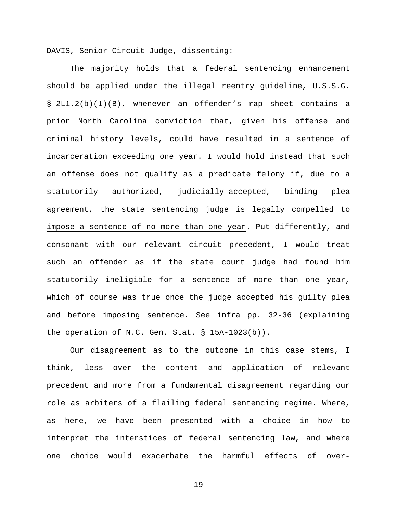DAVIS, Senior Circuit Judge, dissenting:

The majority holds that a federal sentencing enhancement should be applied under the illegal reentry guideline, U.S.S.G. § 2L1.2(b)(1)(B), whenever an offender's rap sheet contains a prior North Carolina conviction that, given his offense and criminal history levels, could have resulted in a sentence of incarceration exceeding one year. I would hold instead that such an offense does not qualify as a predicate felony if, due to a statutorily authorized, judicially-accepted, binding plea agreement, the state sentencing judge is legally compelled to impose a sentence of no more than one year. Put differently, and consonant with our relevant circuit precedent, I would treat such an offender as if the state court judge had found him statutorily ineligible for a sentence of more than one year, which of course was true once the judge accepted his guilty plea and before imposing sentence. See infra pp. 32-36 (explaining the operation of N.C. Gen. Stat. § 15A-1023(b)).

Our disagreement as to the outcome in this case stems, I think, less over the content and application of relevant precedent and more from a fundamental disagreement regarding our role as arbiters of a flailing federal sentencing regime. Where, as here, we have been presented with a choice in how to interpret the interstices of federal sentencing law, and where one choice would exacerbate the harmful effects of over-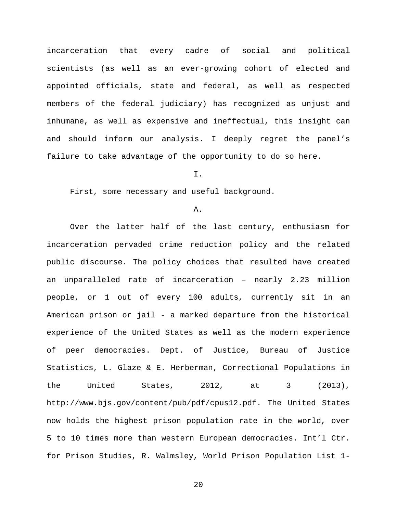incarceration that every cadre of social and political scientists (as well as an ever-growing cohort of elected and appointed officials, state and federal, as well as respected members of the federal judiciary) has recognized as unjust and inhumane, as well as expensive and ineffectual, this insight can and should inform our analysis. I deeply regret the panel's failure to take advantage of the opportunity to do so here.

I.

First, some necessary and useful background.

A.

Over the latter half of the last century, enthusiasm for incarceration pervaded crime reduction policy and the related public discourse. The policy choices that resulted have created an unparalleled rate of incarceration – nearly 2.23 million people, or 1 out of every 100 adults, currently sit in an American prison or jail - a marked departure from the historical experience of the United States as well as the modern experience of peer democracies. Dept. of Justice, Bureau of Justice Statistics, L. Glaze & E. Herberman, Correctional Populations in the United States, 2012, at 3 (2013), http://www.bjs.gov/content/pub/pdf/cpus12.pdf. The United States now holds the highest prison population rate in the world, over 5 to 10 times more than western European democracies. Int'l Ctr. for Prison Studies, R. Walmsley, World Prison Population List 1-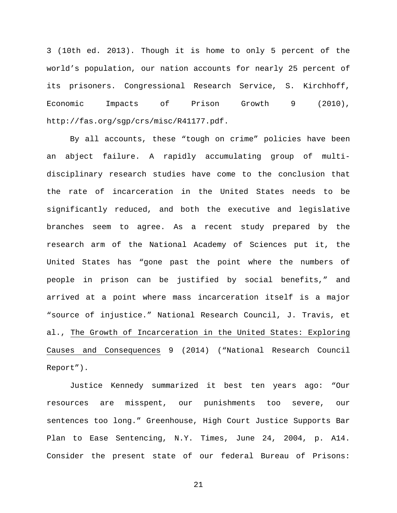3 (10th ed. 2013). Though it is home to only 5 percent of the world's population, our nation accounts for nearly 25 percent of its prisoners. Congressional Research Service, S. Kirchhoff, Economic Impacts of Prison Growth 9 (2010), http://fas.org/sgp/crs/misc/R41177.pdf.

By all accounts, these "tough on crime" policies have been an abject failure. A rapidly accumulating group of multidisciplinary research studies have come to the conclusion that the rate of incarceration in the United States needs to be significantly reduced, and both the executive and legislative branches seem to agree. As a recent study prepared by the research arm of the National Academy of Sciences put it, the United States has "gone past the point where the numbers of people in prison can be justified by social benefits," and arrived at a point where mass incarceration itself is a major "source of injustice." National Research Council, J. Travis, et al., The Growth of Incarceration in the United States: Exploring Causes and Consequences 9 (2014) ("National Research Council Report").

Justice Kennedy summarized it best ten years ago: "Our resources are misspent, our punishments too severe, our sentences too long." Greenhouse, High Court Justice Supports Bar Plan to Ease Sentencing, N.Y. Times, June 24, 2004, p. A14. Consider the present state of our federal Bureau of Prisons: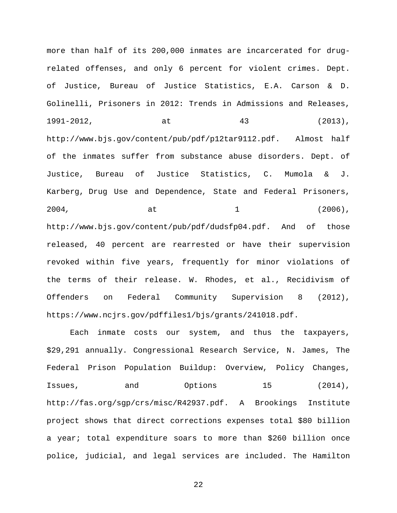more than half of its 200,000 inmates are incarcerated for drugrelated offenses, and only 6 percent for violent crimes. Dept. of Justice, Bureau of Justice Statistics, E.A. Carson & D. Golinelli, Prisoners in 2012: Trends in Admissions and Releases, 1991-2012, at 43 (2013), http://www.bjs.gov/content/pub/pdf/p12tar9112.pdf. Almost half of the inmates suffer from substance abuse disorders. Dept. of Justice, Bureau of Justice Statistics, C. Mumola & J. Karberg, Drug Use and Dependence, State and Federal Prisoners, 2004, at  $\qquad \qquad$  at  $\qquad \qquad$  1 (2006), http://www.bjs.gov/content/pub/pdf/dudsfp04.pdf. And of those released, 40 percent are rearrested or have their supervision revoked within five years, frequently for minor violations of the terms of their release. W. Rhodes, et al., Recidivism of Offenders on Federal Community Supervision 8 (2012), https://www.ncjrs.gov/pdffiles1/bjs/grants/241018.pdf.

Each inmate costs our system, and thus the taxpayers, \$29,291 annually. Congressional Research Service, N. James, The Federal Prison Population Buildup: Overview, Policy Changes, Issues, and Options 15 (2014), http://fas.org/sgp/crs/misc/R42937.pdf. A Brookings Institute project shows that direct corrections expenses total \$80 billion a year; total expenditure soars to more than \$260 billion once police, judicial, and legal services are included. The Hamilton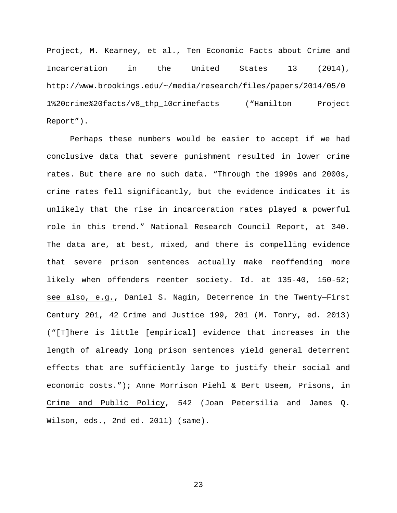Project, M. Kearney, et al., Ten Economic Facts about Crime and Incarceration in the United States 13 (2014), http://www.brookings.edu/~/media/research/files/papers/2014/05/0 1%20crime%20facts/v8\_thp\_10crimefacts ("Hamilton Project Report").

Perhaps these numbers would be easier to accept if we had conclusive data that severe punishment resulted in lower crime rates. But there are no such data. "Through the 1990s and 2000s, crime rates fell significantly, but the evidence indicates it is unlikely that the rise in incarceration rates played a powerful role in this trend." National Research Council Report, at 340. The data are, at best, mixed, and there is compelling evidence that severe prison sentences actually make reoffending more likely when offenders reenter society. Id. at 135-40, 150-52; see also, e.g., Daniel S. Nagin, Deterrence in the Twenty—First Century 201, 42 Crime and Justice 199, 201 (M. Tonry, ed. 2013) ("[T]here is little [empirical] evidence that increases in the length of already long prison sentences yield general deterrent effects that are sufficiently large to justify their social and economic costs."); Anne Morrison Piehl & Bert Useem, Prisons, in Crime and Public Policy, 542 (Joan Petersilia and James Q. Wilson, eds., 2nd ed. 2011) (same).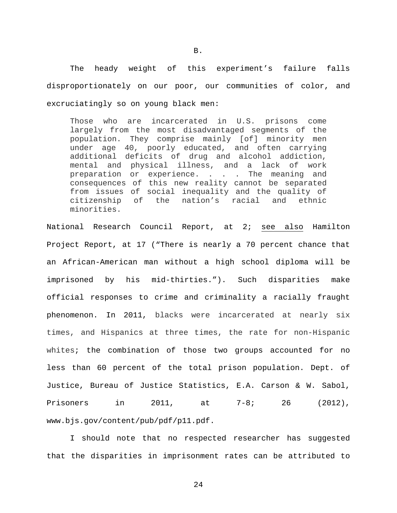The heady weight of this experiment's failure falls disproportionately on our poor, our communities of color, and excruciatingly so on young black men:

Those who are incarcerated in U.S. prisons come largely from the most disadvantaged segments of the population. They comprise mainly [of] minority men under age 40, poorly educated, and often carrying additional deficits of drug and alcohol addiction, mental and physical illness, and a lack of work preparation or experience. . . . The meaning and consequences of this new reality cannot be separated from issues of social inequality and the quality of<br>citizenship of the nation's racial and ethnic citizenship of the nation's racial and minorities.

National Research Council Report, at 2; see also Hamilton Project Report, at 17 ("There is nearly a 70 percent chance that an African-American man without a high school diploma will be imprisoned by his mid-thirties."). Such disparities make official responses to crime and criminality a racially fraught phenomenon. In 2011, blacks were incarcerated at nearly six times, and Hispanics at three times, the rate for non-Hispanic whites; the combination of those two groups accounted for no less than 60 percent of the total prison population. Dept. of Justice, Bureau of Justice Statistics, E.A. Carson & W. Sabol, Prisoners in 2011, at 7-8; 26 (2012), www.bjs.gov/content/pub/pdf/p11.pdf.

I should note that no respected researcher has suggested that the disparities in imprisonment rates can be attributed to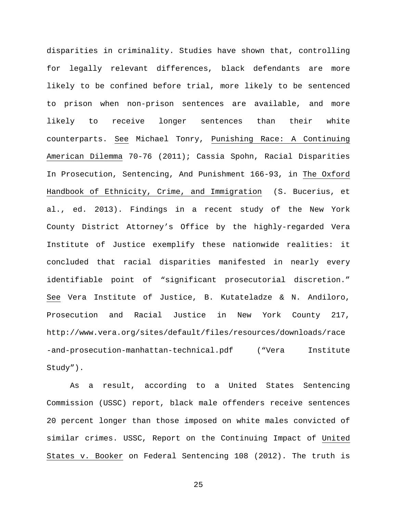disparities in criminality. Studies have shown that, controlling for legally relevant differences, black defendants are more likely to be confined before trial, more likely to be sentenced to prison when non-prison sentences are available, and more likely to receive longer sentences than their white counterparts. See Michael Tonry, Punishing Race: A Continuing American Dilemma 70-76 (2011); Cassia Spohn, Racial Disparities In Prosecution, Sentencing, And Punishment 166-93, in The Oxford Handbook of Ethnicity, Crime, and Immigration (S. Bucerius, et al., ed. 2013). Findings in a recent study of the New York County District Attorney's Office by the highly-regarded Vera Institute of Justice exemplify these nationwide realities: it concluded that racial disparities manifested in nearly every identifiable point of "significant prosecutorial discretion." See Vera Institute of Justice, B. Kutateladze & N. Andiloro, Prosecution and Racial Justice in New York County 217, http://www.vera.org/sites/default/files/resources/downloads/race -and-prosecution-manhattan-technical.pdf ("Vera Institute Study").

As a result, according to a United States Sentencing Commission (USSC) report, black male offenders receive sentences 20 percent longer than those imposed on white males convicted of similar crimes. USSC, Report on the Continuing Impact of United States v. Booker on Federal Sentencing 108 (2012). The truth is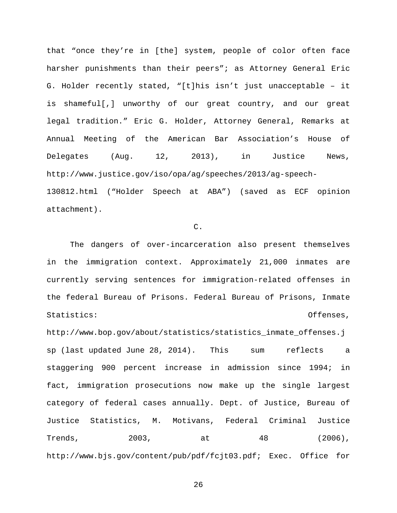that "once they're in [the] system, people of color often face harsher punishments than their peers"; as Attorney General Eric G. Holder recently stated, "[t]his isn't just unacceptable – it is shameful[,] unworthy of our great country, and our great legal tradition." Eric G. Holder, Attorney General, Remarks at Annual Meeting of the American Bar Association's House of Delegates (Aug. 12, 2013), in Justice News, http://www.justice.gov/iso/opa/ag/speeches/2013/ag-speech-

130812.html ("Holder Speech at ABA") (saved as ECF opinion attachment).

# C.

The dangers of over-incarceration also present themselves in the immigration context. Approximately 21,000 inmates are currently serving sentences for immigration-related offenses in the federal Bureau of Prisons. Federal Bureau of Prisons, Inmate Statistics: Offenses,

http://www.bop.gov/about/statistics/statistics\_inmate\_offenses.j sp (last updated June 28, 2014). This sum reflects a staggering 900 percent increase in admission since 1994; in fact, immigration prosecutions now make up the single largest category of federal cases annually. Dept. of Justice, Bureau of Justice Statistics, M. Motivans, Federal Criminal Justice Trends, 2003, at 48 (2006), http://www.bjs.gov/content/pub/pdf/fcjt03.pdf; Exec. Office for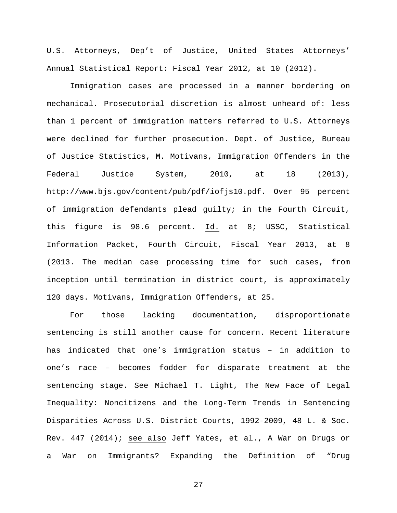U.S. Attorneys, Dep't of Justice, United States Attorneys' Annual Statistical Report: Fiscal Year 2012, at 10 (2012).

Immigration cases are processed in a manner bordering on mechanical. Prosecutorial discretion is almost unheard of: less than 1 percent of immigration matters referred to U.S. Attorneys were declined for further prosecution. Dept. of Justice, Bureau of Justice Statistics, M. Motivans, Immigration Offenders in the Federal Justice System, 2010, at 18 (2013), http://www.bjs.gov/content/pub/pdf/iofjs10.pdf. Over 95 percent of immigration defendants plead guilty; in the Fourth Circuit, this figure is 98.6 percent. Id. at 8; USSC, Statistical Information Packet, Fourth Circuit, Fiscal Year 2013, at 8 (2013. The median case processing time for such cases, from inception until termination in district court, is approximately 120 days. Motivans, Immigration Offenders, at 25.

For those lacking documentation, disproportionate sentencing is still another cause for concern. Recent literature has indicated that one's immigration status – in addition to one's race – becomes fodder for disparate treatment at the sentencing stage. See Michael T. Light, The New Face of Legal Inequality: Noncitizens and the Long-Term Trends in Sentencing Disparities Across U.S. District Courts, 1992-2009, 48 L. & Soc. Rev. 447 (2014); see also Jeff Yates, et al., A War on Drugs or a War on Immigrants? Expanding the Definition of "Drug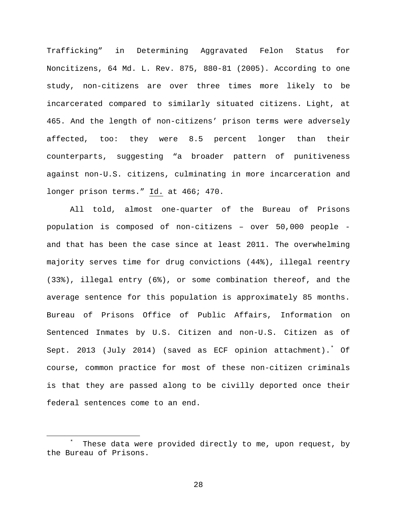Trafficking" in Determining Aggravated Felon Status for Noncitizens, 64 Md. L. Rev. 875, 880-81 (2005). According to one study, non-citizens are over three times more likely to be incarcerated compared to similarly situated citizens. Light, at 465. And the length of non-citizens' prison terms were adversely affected, too: they were 8.5 percent longer than their counterparts, suggesting "a broader pattern of punitiveness against non-U.S. citizens, culminating in more incarceration and longer prison terms." Id. at 466; 470.

All told, almost one-quarter of the Bureau of Prisons population is composed of non-citizens – over 50,000 people and that has been the case since at least 2011. The overwhelming majority serves time for drug convictions (44%), illegal reentry (33%), illegal entry (6%), or some combination thereof, and the average sentence for this population is approximately 85 months. Bureau of Prisons Office of Public Affairs, Information on Sentenced Inmates by U.S. Citizen and non-U.S. Citizen as of Sept. 2013 (July 2014) (saved as ECF opinion attachment).[\\*](#page-27-0) Of course, common practice for most of these non-citizen criminals is that they are passed along to be civilly deported once their federal sentences come to an end.

<span id="page-27-0"></span> $\overline{\phantom{a}}$  These data were provided directly to me, upon request, by the Bureau of Prisons.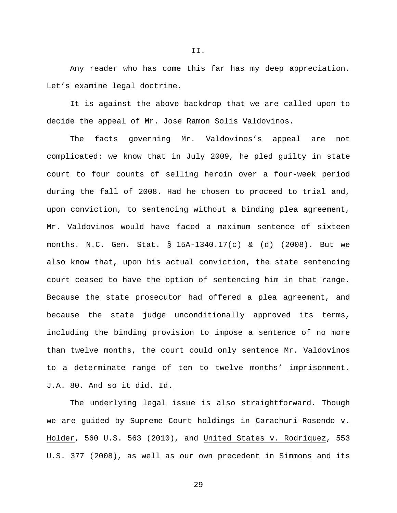Any reader who has come this far has my deep appreciation. Let's examine legal doctrine.

It is against the above backdrop that we are called upon to decide the appeal of Mr. Jose Ramon Solis Valdovinos.

The facts governing Mr. Valdovinos's appeal are not complicated: we know that in July 2009, he pled guilty in state court to four counts of selling heroin over a four-week period during the fall of 2008. Had he chosen to proceed to trial and, upon conviction, to sentencing without a binding plea agreement, Mr. Valdovinos would have faced a maximum sentence of sixteen months. N.C. Gen. Stat. § 15A-1340.17(c) & (d) (2008). But we also know that, upon his actual conviction, the state sentencing court ceased to have the option of sentencing him in that range. Because the state prosecutor had offered a plea agreement, and because the state judge unconditionally approved its terms, including the binding provision to impose a sentence of no more than twelve months, the court could only sentence Mr. Valdovinos to a determinate range of ten to twelve months' imprisonment. J.A. 80. And so it did. Id.

The underlying legal issue is also straightforward. Though we are guided by Supreme Court holdings in Carachuri-Rosendo v. Holder, 560 U.S. 563 (2010), and United States v. Rodriquez, 553 U.S. 377 (2008), as well as our own precedent in Simmons and its

II.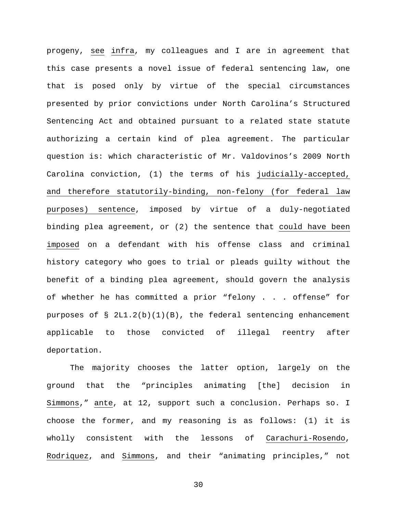progeny, see infra, my colleagues and I are in agreement that this case presents a novel issue of federal sentencing law, one that is posed only by virtue of the special circumstances presented by prior convictions under North Carolina's Structured Sentencing Act and obtained pursuant to a related state statute authorizing a certain kind of plea agreement. The particular question is: which characteristic of Mr. Valdovinos's 2009 North Carolina conviction, (1) the terms of his judicially-accepted, and therefore statutorily-binding, non-felony (for federal law purposes) sentence, imposed by virtue of a duly-negotiated binding plea agreement, or (2) the sentence that could have been imposed on a defendant with his offense class and criminal history category who goes to trial or pleads guilty without the benefit of a binding plea agreement, should govern the analysis of whether he has committed a prior "felony . . . offense" for purposes of  $\S$  2L1.2(b)(1)(B), the federal sentencing enhancement applicable to those convicted of illegal reentry after deportation.

The majority chooses the latter option, largely on the ground that the "principles animating [the] decision in Simmons," ante, at 12, support such a conclusion. Perhaps so. I choose the former, and my reasoning is as follows: (1) it is wholly consistent with the lessons of Carachuri-Rosendo, Rodriquez, and Simmons, and their "animating principles," not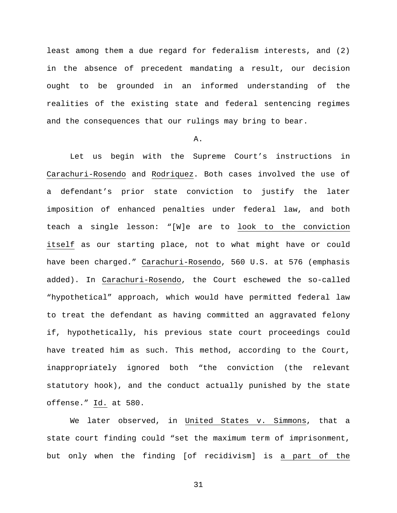least among them a due regard for federalism interests, and (2) in the absence of precedent mandating a result, our decision ought to be grounded in an informed understanding of the realities of the existing state and federal sentencing regimes and the consequences that our rulings may bring to bear.

# A.

Let us begin with the Supreme Court's instructions in Carachuri-Rosendo and Rodriquez. Both cases involved the use of a defendant's prior state conviction to justify the later imposition of enhanced penalties under federal law, and both teach a single lesson: "[W]e are to look to the conviction itself as our starting place, not to what might have or could have been charged." Carachuri-Rosendo, 560 U.S. at 576 (emphasis added). In Carachuri-Rosendo, the Court eschewed the so-called "hypothetical" approach, which would have permitted federal law to treat the defendant as having committed an aggravated felony if, hypothetically, his previous state court proceedings could have treated him as such. This method, according to the Court, inappropriately ignored both "the conviction (the relevant statutory hook), and the conduct actually punished by the state offense." Id. at 580.

We later observed, in United States v. Simmons, that a state court finding could "set the maximum term of imprisonment, but only when the finding [of recidivism] is a part of the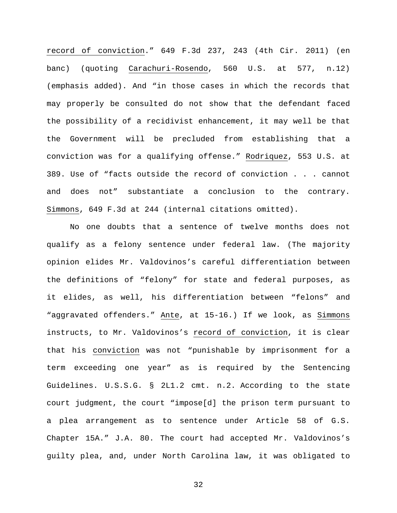record of conviction." 649 F.3d 237, 243 (4th Cir. 2011) (en banc) (quoting Carachuri-Rosendo, 560 U.S. at 577, n.12) (emphasis added). And "in those cases in which the records that may properly be consulted do not show that the defendant faced the possibility of a recidivist enhancement, it may well be that the Government will be precluded from establishing that a conviction was for a qualifying offense." Rodriquez, 553 U.S. at 389. Use of "facts outside the record of conviction . . . cannot and does not" substantiate a conclusion to the contrary. Simmons, 649 F.3d at 244 (internal citations omitted).

No one doubts that a sentence of twelve months does not qualify as a felony sentence under federal law. (The majority opinion elides Mr. Valdovinos's careful differentiation between the definitions of "felony" for state and federal purposes, as it elides, as well, his differentiation between "felons" and "aggravated offenders." Ante, at 15-16.) If we look, as Simmons instructs, to Mr. Valdovinos's record of conviction, it is clear that his conviction was not "punishable by imprisonment for a term exceeding one year" as is required by the Sentencing Guidelines. U.S.S.G. § 2L1.2 cmt. n.2. According to the state court judgment, the court "impose[d] the prison term pursuant to a plea arrangement as to sentence under Article 58 of G.S. Chapter 15A." J.A. 80. The court had accepted Mr. Valdovinos's guilty plea, and, under North Carolina law, it was obligated to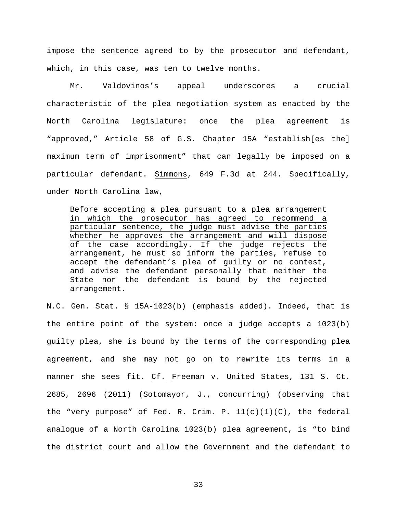impose the sentence agreed to by the prosecutor and defendant, which, in this case, was ten to twelve months.

Mr. Valdovinos's appeal underscores a crucial characteristic of the plea negotiation system as enacted by the North Carolina legislature: once the plea agreement is "approved," Article 58 of G.S. Chapter 15A "establish[es the] maximum term of imprisonment" that can legally be imposed on a particular defendant. Simmons, 649 F.3d at 244. Specifically, under North Carolina law,

Before accepting a plea pursuant to a plea arrangement in which the prosecutor has agreed to recommend a particular sentence, the judge must advise the parties whether he approves the arrangement and will dispose of the case accordingly. If the judge rejects the arrangement, he must so inform the parties, refuse to accept the defendant's plea of guilty or no contest, and advise the defendant personally that neither the State nor the defendant is bound by the rejected arrangement.

N.C. Gen. Stat. § 15A-1023(b) (emphasis added). Indeed, that is the entire point of the system: once a judge accepts a 1023(b) guilty plea, she is bound by the terms of the corresponding plea agreement, and she may not go on to rewrite its terms in a manner she sees fit. Cf. Freeman v. United States, 131 S. Ct. 2685, 2696 (2011) (Sotomayor, J., concurring) (observing that the "very purpose" of Fed. R. Crim. P.  $11(c)(1)(C)$ , the federal analogue of a North Carolina 1023(b) plea agreement, is "to bind the district court and allow the Government and the defendant to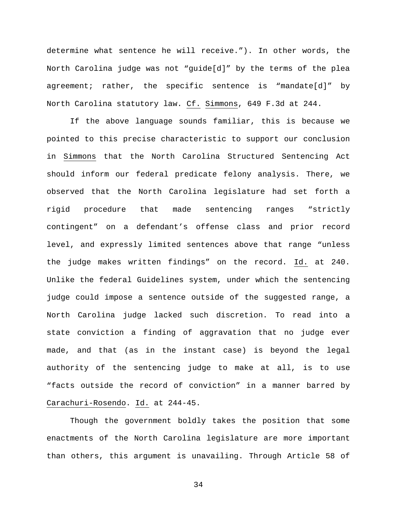determine what sentence he will receive."). In other words, the North Carolina judge was not "guide[d]" by the terms of the plea agreement; rather, the specific sentence is "mandate[d]" by North Carolina statutory law. Cf. Simmons, 649 F.3d at 244.

If the above language sounds familiar, this is because we pointed to this precise characteristic to support our conclusion in Simmons that the North Carolina Structured Sentencing Act should inform our federal predicate felony analysis. There, we observed that the North Carolina legislature had set forth a rigid procedure that made sentencing ranges "strictly contingent" on a defendant's offense class and prior record level, and expressly limited sentences above that range "unless the judge makes written findings" on the record. Id. at 240. Unlike the federal Guidelines system, under which the sentencing judge could impose a sentence outside of the suggested range, a North Carolina judge lacked such discretion. To read into a state conviction a finding of aggravation that no judge ever made, and that (as in the instant case) is beyond the legal authority of the sentencing judge to make at all, is to use "facts outside the record of conviction" in a manner barred by Carachuri-Rosendo. Id. at 244-45.

Though the government boldly takes the position that some enactments of the North Carolina legislature are more important than others, this argument is unavailing. Through Article 58 of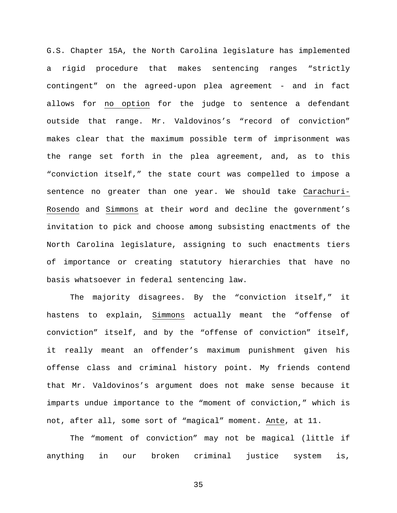G.S. Chapter 15A, the North Carolina legislature has implemented a rigid procedure that makes sentencing ranges "strictly contingent" on the agreed-upon plea agreement - and in fact allows for no option for the judge to sentence a defendant outside that range. Mr. Valdovinos's "record of conviction" makes clear that the maximum possible term of imprisonment was the range set forth in the plea agreement, and, as to this "conviction itself," the state court was compelled to impose a sentence no greater than one year. We should take Carachuri-Rosendo and Simmons at their word and decline the government's invitation to pick and choose among subsisting enactments of the North Carolina legislature, assigning to such enactments tiers of importance or creating statutory hierarchies that have no basis whatsoever in federal sentencing law.

The majority disagrees. By the "conviction itself," it hastens to explain, Simmons actually meant the "offense of conviction" itself, and by the "offense of conviction" itself, it really meant an offender's maximum punishment given his offense class and criminal history point. My friends contend that Mr. Valdovinos's argument does not make sense because it imparts undue importance to the "moment of conviction," which is not, after all, some sort of "magical" moment. Ante, at 11.

The "moment of conviction" may not be magical (little if anything in our broken criminal justice system is,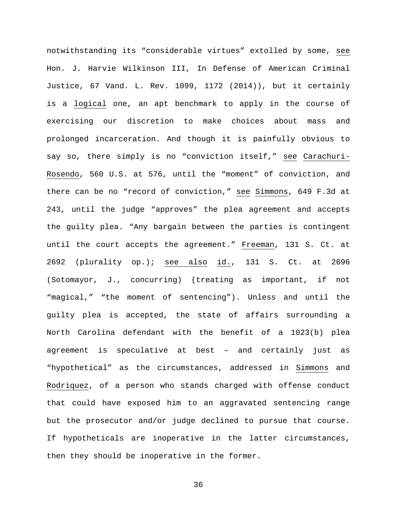notwithstanding its "considerable virtues" extolled by some, see Hon. J. Harvie Wilkinson III, In Defense of American Criminal Justice, 67 Vand. L. Rev. 1099, 1172 (2014)), but it certainly is a logical one, an apt benchmark to apply in the course of exercising our discretion to make choices about mass and prolonged incarceration. And though it is painfully obvious to say so, there simply is no "conviction itself," see Carachuri-Rosendo, 560 U.S. at 576, until the "moment" of conviction, and there can be no "record of conviction," see Simmons, 649 F.3d at 243, until the judge "approves" the plea agreement and accepts the guilty plea. "Any bargain between the parties is contingent until the court accepts the agreement." Freeman, 131 S. Ct. at 2692 (plurality op.); see also id., 131 S. Ct. at 2696 (Sotomayor, J., concurring) (treating as important, if not "magical," "the moment of sentencing"). Unless and until the guilty plea is accepted, the state of affairs surrounding a North Carolina defendant with the benefit of a 1023(b) plea agreement is speculative at best – and certainly just as "hypothetical" as the circumstances, addressed in Simmons and Rodriquez, of a person who stands charged with offense conduct that could have exposed him to an aggravated sentencing range but the prosecutor and/or judge declined to pursue that course. If hypotheticals are inoperative in the latter circumstances, then they should be inoperative in the former.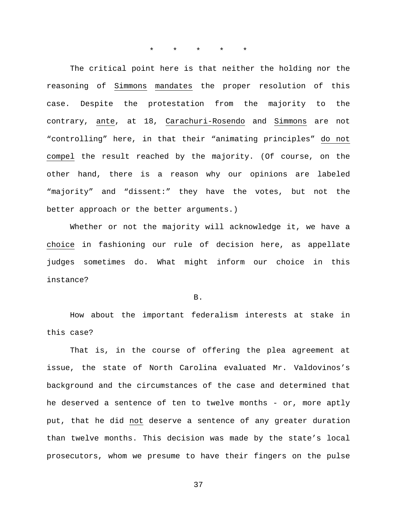\* \* \* \* \*

The critical point here is that neither the holding nor the reasoning of Simmons mandates the proper resolution of this case. Despite the protestation from the majority to the contrary, ante, at 18, Carachuri-Rosendo and Simmons are not "controlling" here, in that their "animating principles" do not compel the result reached by the majority. (Of course, on the other hand, there is a reason why our opinions are labeled "majority" and "dissent:" they have the votes, but not the better approach or the better arguments.)

Whether or not the majority will acknowledge it, we have a choice in fashioning our rule of decision here, as appellate judges sometimes do. What might inform our choice in this instance?

B.

How about the important federalism interests at stake in this case?

That is, in the course of offering the plea agreement at issue, the state of North Carolina evaluated Mr. Valdovinos's background and the circumstances of the case and determined that he deserved a sentence of ten to twelve months - or, more aptly put, that he did not deserve a sentence of any greater duration than twelve months. This decision was made by the state's local prosecutors, whom we presume to have their fingers on the pulse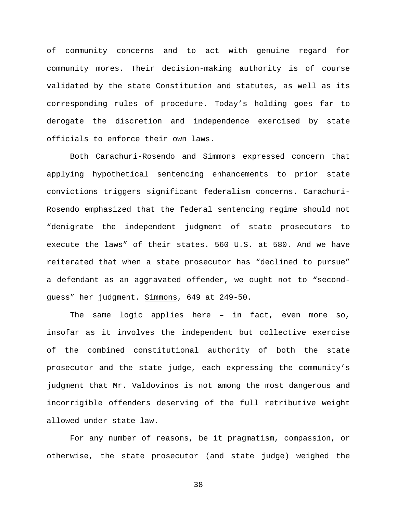of community concerns and to act with genuine regard for community mores. Their decision-making authority is of course validated by the state Constitution and statutes, as well as its corresponding rules of procedure. Today's holding goes far to derogate the discretion and independence exercised by state officials to enforce their own laws.

Both Carachuri-Rosendo and Simmons expressed concern that applying hypothetical sentencing enhancements to prior state convictions triggers significant federalism concerns. Carachuri-Rosendo emphasized that the federal sentencing regime should not "denigrate the independent judgment of state prosecutors to execute the laws" of their states. 560 U.S. at 580. And we have reiterated that when a state prosecutor has "declined to pursue" a defendant as an aggravated offender, we ought not to "secondguess" her judgment. Simmons, 649 at 249-50.

The same logic applies here – in fact, even more so, insofar as it involves the independent but collective exercise of the combined constitutional authority of both the state prosecutor and the state judge, each expressing the community's judgment that Mr. Valdovinos is not among the most dangerous and incorrigible offenders deserving of the full retributive weight allowed under state law.

For any number of reasons, be it pragmatism, compassion, or otherwise, the state prosecutor (and state judge) weighed the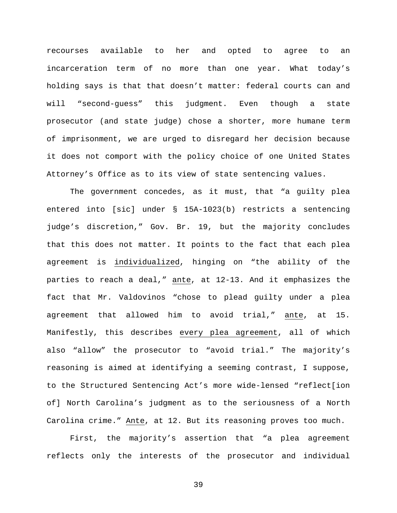recourses available to her and opted to agree to an incarceration term of no more than one year. What today's holding says is that that doesn't matter: federal courts can and will "second-guess" this judgment. Even though a state prosecutor (and state judge) chose a shorter, more humane term of imprisonment, we are urged to disregard her decision because it does not comport with the policy choice of one United States Attorney's Office as to its view of state sentencing values.

The government concedes, as it must, that "a guilty plea entered into [sic] under § 15A-1023(b) restricts a sentencing judge's discretion," Gov. Br. 19, but the majority concludes that this does not matter. It points to the fact that each plea agreement is individualized, hinging on "the ability of the parties to reach a deal," ante, at 12-13. And it emphasizes the fact that Mr. Valdovinos "chose to plead guilty under a plea agreement that allowed him to avoid trial," ante, at 15. Manifestly, this describes every plea agreement, all of which also "allow" the prosecutor to "avoid trial." The majority's reasoning is aimed at identifying a seeming contrast, I suppose, to the Structured Sentencing Act's more wide-lensed "reflect[ion of] North Carolina's judgment as to the seriousness of a North Carolina crime." Ante, at 12. But its reasoning proves too much.

First, the majority's assertion that "a plea agreement reflects only the interests of the prosecutor and individual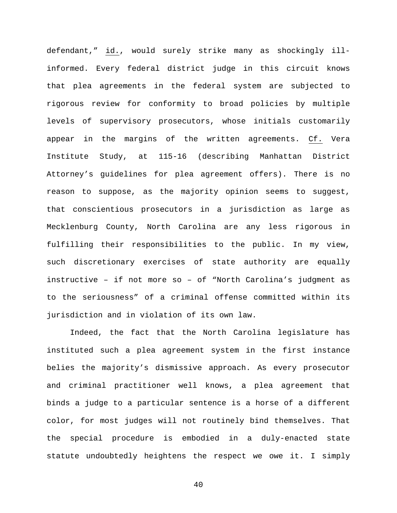defendant," id., would surely strike many as shockingly illinformed. Every federal district judge in this circuit knows that plea agreements in the federal system are subjected to rigorous review for conformity to broad policies by multiple levels of supervisory prosecutors, whose initials customarily appear in the margins of the written agreements. Cf. Vera Institute Study, at 115-16 (describing Manhattan District Attorney's guidelines for plea agreement offers). There is no reason to suppose, as the majority opinion seems to suggest, that conscientious prosecutors in a jurisdiction as large as Mecklenburg County, North Carolina are any less rigorous in fulfilling their responsibilities to the public. In my view, such discretionary exercises of state authority are equally instructive – if not more so – of "North Carolina's judgment as to the seriousness" of a criminal offense committed within its jurisdiction and in violation of its own law.

Indeed, the fact that the North Carolina legislature has instituted such a plea agreement system in the first instance belies the majority's dismissive approach. As every prosecutor and criminal practitioner well knows, a plea agreement that binds a judge to a particular sentence is a horse of a different color, for most judges will not routinely bind themselves. That the special procedure is embodied in a duly-enacted state statute undoubtedly heightens the respect we owe it. I simply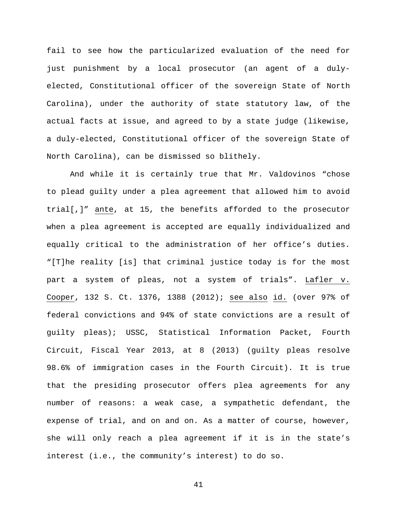fail to see how the particularized evaluation of the need for just punishment by a local prosecutor (an agent of a dulyelected, Constitutional officer of the sovereign State of North Carolina), under the authority of state statutory law, of the actual facts at issue, and agreed to by a state judge (likewise, a duly-elected, Constitutional officer of the sovereign State of North Carolina), can be dismissed so blithely.

And while it is certainly true that Mr. Valdovinos "chose to plead guilty under a plea agreement that allowed him to avoid trial[,]" ante, at 15, the benefits afforded to the prosecutor when a plea agreement is accepted are equally individualized and equally critical to the administration of her office's duties. "[T]he reality [is] that criminal justice today is for the most part a system of pleas, not a system of trials". Lafler v. Cooper, 132 S. Ct. 1376, 1388 (2012); see also id. (over 97% of federal convictions and 94% of state convictions are a result of guilty pleas); USSC, Statistical Information Packet, Fourth Circuit, Fiscal Year 2013, at 8 (2013) (guilty pleas resolve 98.6% of immigration cases in the Fourth Circuit). It is true that the presiding prosecutor offers plea agreements for any number of reasons: a weak case, a sympathetic defendant, the expense of trial, and on and on. As a matter of course, however, she will only reach a plea agreement if it is in the state's interest (i.e., the community's interest) to do so.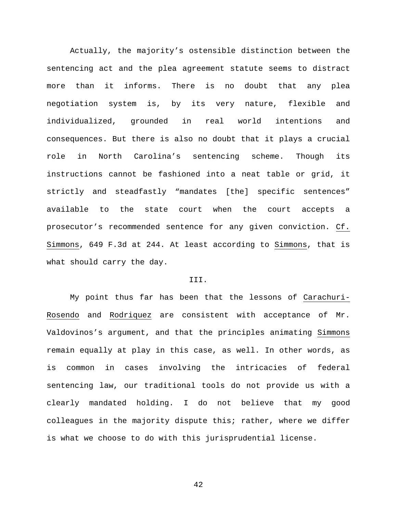Actually, the majority's ostensible distinction between the sentencing act and the plea agreement statute seems to distract more than it informs. There is no doubt that any plea negotiation system is, by its very nature, flexible and individualized, grounded in real world intentions and consequences. But there is also no doubt that it plays a crucial role in North Carolina's sentencing scheme. Though its instructions cannot be fashioned into a neat table or grid, it strictly and steadfastly "mandates [the] specific sentences" available to the state court when the court accepts a prosecutor's recommended sentence for any given conviction. Cf. Simmons, 649 F.3d at 244. At least according to Simmons, that is what should carry the day.

# III.

My point thus far has been that the lessons of Carachuri-Rosendo and Rodriquez are consistent with acceptance of Mr. Valdovinos's argument, and that the principles animating Simmons remain equally at play in this case, as well. In other words, as is common in cases involving the intricacies of federal sentencing law, our traditional tools do not provide us with a clearly mandated holding. I do not believe that my good colleagues in the majority dispute this; rather, where we differ is what we choose to do with this jurisprudential license.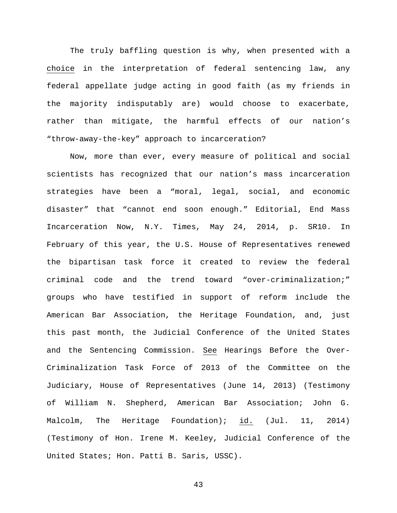The truly baffling question is why, when presented with a choice in the interpretation of federal sentencing law, any federal appellate judge acting in good faith (as my friends in the majority indisputably are) would choose to exacerbate, rather than mitigate, the harmful effects of our nation's "throw-away-the-key" approach to incarceration?

Now, more than ever, every measure of political and social scientists has recognized that our nation's mass incarceration strategies have been a "moral, legal, social, and economic disaster" that "cannot end soon enough." Editorial, End Mass Incarceration Now, N.Y. Times, May 24, 2014, p. SR10. In February of this year, the U.S. House of Representatives renewed the bipartisan task force it created to review the federal criminal code and the trend toward "over-criminalization;" groups who have testified in support of reform include the American Bar Association, the Heritage Foundation, and, just this past month, the Judicial Conference of the United States and the Sentencing Commission. See Hearings Before the Over-Criminalization Task Force of 2013 of the Committee on the Judiciary, House of Representatives (June 14, 2013) (Testimony of William N. Shepherd, American Bar Association; John G. Malcolm, The Heritage Foundation); id. (Jul. 11, 2014) (Testimony of Hon. Irene M. Keeley, Judicial Conference of the United States; Hon. Patti B. Saris, USSC).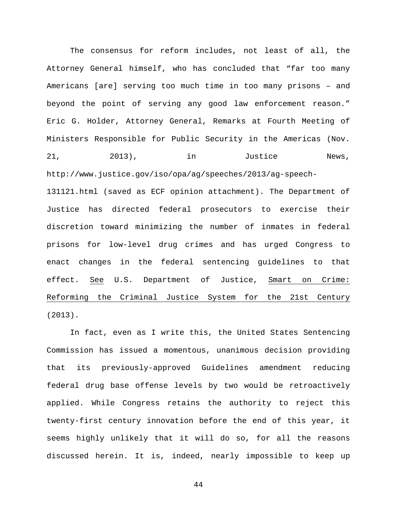The consensus for reform includes, not least of all, the Attorney General himself, who has concluded that "far too many Americans [are] serving too much time in too many prisons – and beyond the point of serving any good law enforcement reason." Eric G. Holder, Attorney General, Remarks at Fourth Meeting of Ministers Responsible for Public Security in the Americas (Nov. 21, 2013), in Justice News, http://www.justice.gov/iso/opa/ag/speeches/2013/ag-speech-131121.html (saved as ECF opinion attachment). The Department of Justice has directed federal prosecutors to exercise their discretion toward minimizing the number of inmates in federal prisons for low-level drug crimes and has urged Congress to

enact changes in the federal sentencing guidelines to that effect. See U.S. Department of Justice, Smart on Crime: Reforming the Criminal Justice System for the 21st Century (2013).

In fact, even as I write this, the United States Sentencing Commission has issued a momentous, unanimous decision providing that its previously-approved Guidelines amendment reducing federal drug base offense levels by two would be retroactively applied. While Congress retains the authority to reject this twenty-first century innovation before the end of this year, it seems highly unlikely that it will do so, for all the reasons discussed herein. It is, indeed, nearly impossible to keep up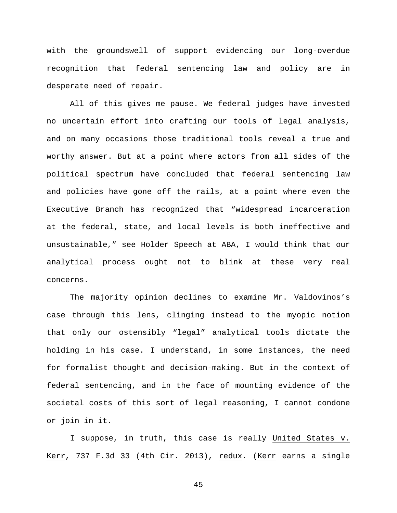with the groundswell of support evidencing our long-overdue recognition that federal sentencing law and policy are in desperate need of repair.

All of this gives me pause. We federal judges have invested no uncertain effort into crafting our tools of legal analysis, and on many occasions those traditional tools reveal a true and worthy answer. But at a point where actors from all sides of the political spectrum have concluded that federal sentencing law and policies have gone off the rails, at a point where even the Executive Branch has recognized that "widespread incarceration at the federal, state, and local levels is both ineffective and unsustainable," see Holder Speech at ABA, I would think that our analytical process ought not to blink at these very real concerns.

The majority opinion declines to examine Mr. Valdovinos's case through this lens, clinging instead to the myopic notion that only our ostensibly "legal" analytical tools dictate the holding in his case. I understand, in some instances, the need for formalist thought and decision-making. But in the context of federal sentencing, and in the face of mounting evidence of the societal costs of this sort of legal reasoning, I cannot condone or join in it.

I suppose, in truth, this case is really United States v. Kerr, 737 F.3d 33 (4th Cir. 2013), redux. (Kerr earns a single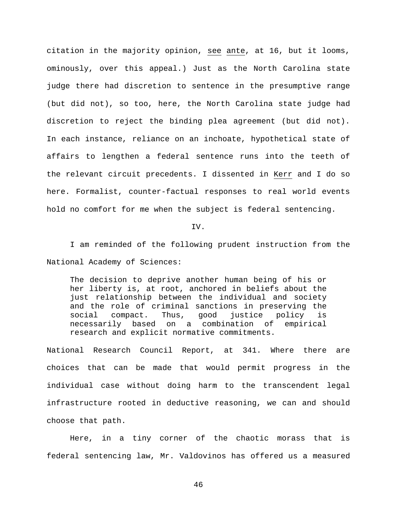citation in the majority opinion, see ante, at 16, but it looms, ominously, over this appeal.) Just as the North Carolina state judge there had discretion to sentence in the presumptive range (but did not), so too, here, the North Carolina state judge had discretion to reject the binding plea agreement (but did not). In each instance, reliance on an inchoate, hypothetical state of affairs to lengthen a federal sentence runs into the teeth of the relevant circuit precedents. I dissented in Kerr and I do so here. Formalist, counter-factual responses to real world events hold no comfort for me when the subject is federal sentencing.

#### IV.

I am reminded of the following prudent instruction from the National Academy of Sciences:

The decision to deprive another human being of his or her liberty is, at root, anchored in beliefs about the just relationship between the individual and society and the role of criminal sanctions in preserving the social compact. Thus, good justice policy is necessarily based on a combination of empirical research and explicit normative commitments.

National Research Council Report, at 341. Where there are choices that can be made that would permit progress in the individual case without doing harm to the transcendent legal infrastructure rooted in deductive reasoning, we can and should choose that path.

Here, in a tiny corner of the chaotic morass that is federal sentencing law, Mr. Valdovinos has offered us a measured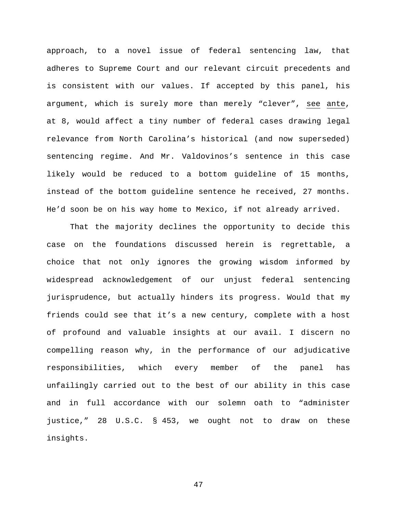approach, to a novel issue of federal sentencing law, that adheres to Supreme Court and our relevant circuit precedents and is consistent with our values. If accepted by this panel, his argument, which is surely more than merely "clever", see ante, at 8, would affect a tiny number of federal cases drawing legal relevance from North Carolina's historical (and now superseded) sentencing regime. And Mr. Valdovinos's sentence in this case likely would be reduced to a bottom guideline of 15 months, instead of the bottom guideline sentence he received, 27 months. He'd soon be on his way home to Mexico, if not already arrived.

That the majority declines the opportunity to decide this case on the foundations discussed herein is regrettable, a choice that not only ignores the growing wisdom informed by widespread acknowledgement of our unjust federal sentencing jurisprudence, but actually hinders its progress. Would that my friends could see that it's a new century, complete with a host of profound and valuable insights at our avail. I discern no compelling reason why, in the performance of our adjudicative responsibilities, which every member of the panel has unfailingly carried out to the best of our ability in this case and in full accordance with our solemn oath to "administer justice," 28 U.S.C. § 453, we ought not to draw on these insights.